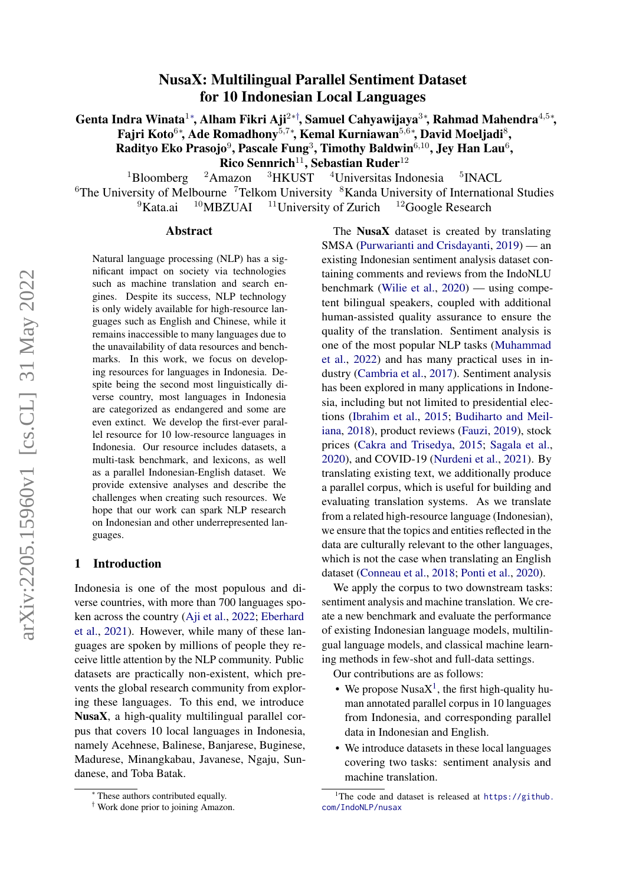# NusaX: Multilingual Parallel Sentiment Dataset for 10 Indonesian Local Languages

Genta Indra Winata $^{1*}$ , Alham Fikri Aji $^{2*}$ †, Samuel Cahyawijaya $^{3*}$ , Rahmad Mahendra $^{4,5*}$ , Fajri Koto $^{6*}$ , Ade Romadhony $^{5,7*}$ , Kemal Kurniawan $^{5,6*}$ , David Moeljadi $^8$ , Radityo Eko Prasojo $^9$ , Pascale Fung $^3$ , Timothy Baldwin $^{6,10}$ , Jey Han Lau $^6$ , **Rico Sennrich<sup>11</sup>, Sebastian Ruder<sup>12</sup>**<br><sup>2</sup>Amazon <sup>3</sup>HKUST <sup>4</sup>Universitas Ind

 $1B$ loomberg  $2A$ mazon  $3HKUST$   $4Universitas$  Indonesia <sup>5</sup>INACL <sup>6</sup>The University of Melbourne<sup>7</sup>Telkom University <sup>8</sup>Kanda University of International Studies  $9$ Kata.ai  $10$ MBZUAI  $11$ University of Zurich  $12$ Google Research

#### Abstract

Natural language processing (NLP) has a significant impact on society via technologies such as machine translation and search engines. Despite its success, NLP technology is only widely available for high-resource languages such as English and Chinese, while it remains inaccessible to many languages due to the unavailability of data resources and benchmarks. In this work, we focus on developing resources for languages in Indonesia. Despite being the second most linguistically diverse country, most languages in Indonesia are categorized as endangered and some are even extinct. We develop the first-ever parallel resource for 10 low-resource languages in Indonesia. Our resource includes datasets, a multi-task benchmark, and lexicons, as well as a parallel Indonesian-English dataset. We provide extensive analyses and describe the challenges when creating such resources. We hope that our work can spark NLP research on Indonesian and other underrepresented languages.

## 1 Introduction

Indonesia is one of the most populous and diverse countries, with more than 700 languages spoken across the country [\(Aji et al.,](#page-8-0) [2022;](#page-8-0) [Eberhard](#page-9-0) [et al.,](#page-9-0) [2021\)](#page-9-0). However, while many of these languages are spoken by millions of people they receive little attention by the NLP community. Public datasets are practically non-existent, which prevents the global research community from exploring these languages. To this end, we introduce NusaX, a high-quality multilingual parallel corpus that covers 10 local languages in Indonesia, namely Acehnese, Balinese, Banjarese, Buginese, Madurese, Minangkabau, Javanese, Ngaju, Sundanese, and Toba Batak.

The Nusa $X$  dataset is created by translating SMSA [\(Purwarianti and Crisdayanti,](#page-11-0) [2019\)](#page-11-0) — an existing Indonesian sentiment analysis dataset containing comments and reviews from the IndoNLU benchmark [\(Wilie et al.,](#page-12-0) [2020\)](#page-12-0) — using competent bilingual speakers, coupled with additional human-assisted quality assurance to ensure the quality of the translation. Sentiment analysis is one of the most popular NLP tasks [\(Muhammad](#page-10-0) [et al.,](#page-10-0) [2022\)](#page-10-0) and has many practical uses in industry [\(Cambria et al.,](#page-9-1) [2017\)](#page-9-1). Sentiment analysis has been explored in many applications in Indonesia, including but not limited to presidential elections [\(Ibrahim et al.,](#page-10-1) [2015;](#page-10-1) [Budiharto and Meil](#page-9-2)[iana,](#page-9-2) [2018\)](#page-9-2), product reviews [\(Fauzi,](#page-9-3) [2019\)](#page-9-3), stock prices [\(Cakra and Trisedya,](#page-9-4) [2015;](#page-9-4) [Sagala et al.,](#page-11-1) [2020\)](#page-11-1), and COVID-19 [\(Nurdeni et al.,](#page-11-2) [2021\)](#page-11-2). By translating existing text, we additionally produce a parallel corpus, which is useful for building and evaluating translation systems. As we translate from a related high-resource language (Indonesian), we ensure that the topics and entities reflected in the data are culturally relevant to the other languages, which is not the case when translating an English dataset [\(Conneau et al.,](#page-9-5) [2018;](#page-9-5) [Ponti et al.,](#page-11-3) [2020\)](#page-11-3).

We apply the corpus to two downstream tasks: sentiment analysis and machine translation. We create a new benchmark and evaluate the performance of existing Indonesian language models, multilingual language models, and classical machine learning methods in few-shot and full-data settings.

Our contributions are as follows:

- We propose Nusa $X^1$  $X^1$ , the first high-quality human annotated parallel corpus in 10 languages from Indonesia, and corresponding parallel data in Indonesian and English.
- We introduce datasets in these local languages covering two tasks: sentiment analysis and machine translation.

<sup>∗</sup> These authors contributed equally.

<sup>†</sup> Work done prior to joining Amazon.

<span id="page-0-0"></span><sup>&</sup>lt;sup>1</sup>The code and dataset is released at  $https://github.$ [com/IndoNLP/nusax](https://github.com/IndoNLP/nusax)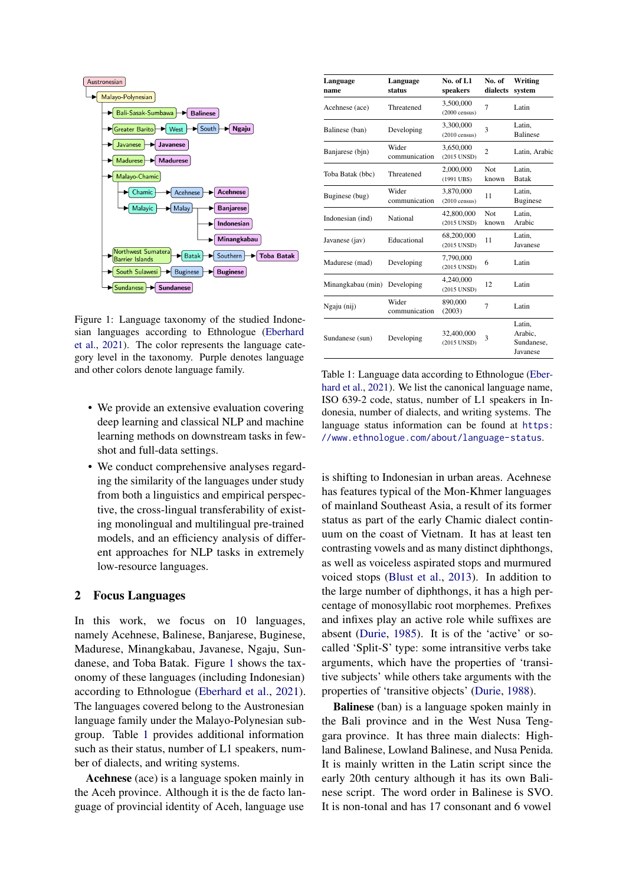<span id="page-1-0"></span>

Figure 1: Language taxonomy of the studied Indonesian languages according to Ethnologue [\(Eberhard](#page-9-0) [et al.,](#page-9-0) [2021\)](#page-9-0). The color represents the language category level in the taxonomy. Purple denotes language and other colors denote language family.

- We provide an extensive evaluation covering deep learning and classical NLP and machine learning methods on downstream tasks in fewshot and full-data settings.
- We conduct comprehensive analyses regarding the similarity of the languages under study from both a linguistics and empirical perspective, the cross-lingual transferability of existing monolingual and multilingual pre-trained models, and an efficiency analysis of different approaches for NLP tasks in extremely low-resource languages.

## 2 Focus Languages

In this work, we focus on 10 languages, namely Acehnese, Balinese, Banjarese, Buginese, Madurese, Minangkabau, Javanese, Ngaju, Sundanese, and Toba Batak. Figure [1](#page-1-0) shows the taxonomy of these languages (including Indonesian) according to Ethnologue [\(Eberhard et al.,](#page-9-0) [2021\)](#page-9-0). The languages covered belong to the Austronesian language family under the Malayo-Polynesian subgroup. Table [1](#page-1-1) provides additional information such as their status, number of L1 speakers, number of dialects, and writing systems.

Acehnese (ace) is a language spoken mainly in the Aceh province. Although it is the de facto language of provincial identity of Aceh, language use

<span id="page-1-1"></span>

| Language<br>name              | Language<br>status           | No. of $L1$<br>speakers              | No. of<br>dialects  | Writing<br>system                           |
|-------------------------------|------------------------------|--------------------------------------|---------------------|---------------------------------------------|
| Acehnese (ace)                | Threatened                   | 3,500,000<br>$(2000 \text{ census})$ | 7                   | Latin                                       |
| Balinese (ban)                | Developing                   | 3,300,000<br>$(2010 \text{ census})$ | 3                   | Latin,<br><b>Balinese</b>                   |
| Banjarese (bjn)               | Wider<br>communication       | 3,650,000<br>(2015 UNSD)             | $\overline{c}$      | Latin, Arabic                               |
| Toba Batak (bbc)              | Threatened                   |                                      | <b>Not</b><br>known | Latin.<br><b>Batak</b>                      |
| Buginese (bug)                | Wider<br>communication       |                                      | 11                  | Latin,<br><b>Buginese</b>                   |
| Indonesian (ind)              | National                     | 42,800,000<br>(2015 UNSD)            | <b>Not</b><br>known | Latin,<br>Arabic                            |
| Javanese (jav)                | Educational                  | 68,200,000<br>(2015 UNSD)            | 11                  | Latin.<br>Javanese                          |
| Madurese (mad)                | Developing                   | 7.790.000<br>(2015 UNSD)             | 6                   | Latin                                       |
|                               | Minangkabau (min) Developing |                                      | 12                  | Latin                                       |
| Ngaju (nij)                   | Wider<br>communication       | 890,000<br>(2003)                    | 7                   | Latin                                       |
| Developing<br>Sundanese (sun) |                              | 32,400,000<br>(2015 UNSD)            | 3                   | Latin,<br>Arabic,<br>Sundanese,<br>Javanese |

Table 1: Language data according to Ethnologue [\(Eber](#page-9-0)[hard et al.,](#page-9-0) [2021\)](#page-9-0). We list the canonical language name, ISO 639-2 code, status, number of L1 speakers in Indonesia, number of dialects, and writing systems. The language status information can be found at [https:](https://www.ethnologue.com/about/language-status) [//www.ethnologue.com/about/language-status](https://www.ethnologue.com/about/language-status).

is shifting to Indonesian in urban areas. Acehnese has features typical of the Mon-Khmer languages of mainland Southeast Asia, a result of its former status as part of the early Chamic dialect continuum on the coast of Vietnam. It has at least ten contrasting vowels and as many distinct diphthongs, as well as voiceless aspirated stops and murmured voiced stops [\(Blust et al.,](#page-9-6) [2013\)](#page-9-6). In addition to the large number of diphthongs, it has a high percentage of monosyllabic root morphemes. Prefixes and infixes play an active role while suffixes are absent [\(Durie,](#page-9-7) [1985\)](#page-9-7). It is of the 'active' or socalled 'Split-S' type: some intransitive verbs take arguments, which have the properties of 'transitive subjects' while others take arguments with the properties of 'transitive objects' [\(Durie,](#page-9-8) [1988\)](#page-9-8).

Balinese (ban) is a language spoken mainly in the Bali province and in the West Nusa Tenggara province. It has three main dialects: Highland Balinese, Lowland Balinese, and Nusa Penida. It is mainly written in the Latin script since the early 20th century although it has its own Balinese script. The word order in Balinese is SVO. It is non-tonal and has 17 consonant and 6 vowel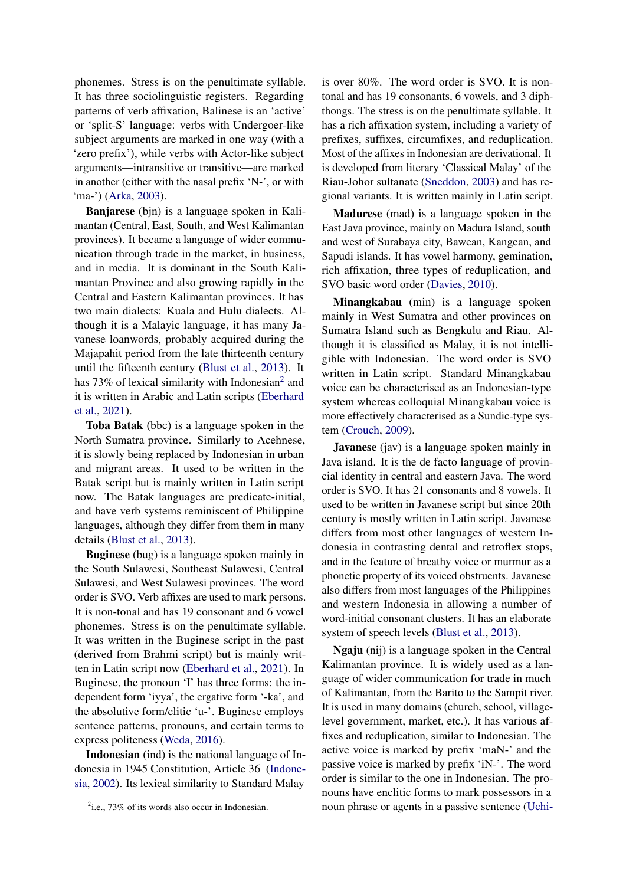phonemes. Stress is on the penultimate syllable. It has three sociolinguistic registers. Regarding patterns of verb affixation, Balinese is an 'active' or 'split-S' language: verbs with Undergoer-like subject arguments are marked in one way (with a 'zero prefix'), while verbs with Actor-like subject arguments—intransitive or transitive—are marked in another (either with the nasal prefix 'N-', or with 'ma-') [\(Arka,](#page-9-9) [2003\)](#page-9-9).

Banjarese (bjn) is a language spoken in Kalimantan (Central, East, South, and West Kalimantan provinces). It became a language of wider communication through trade in the market, in business, and in media. It is dominant in the South Kalimantan Province and also growing rapidly in the Central and Eastern Kalimantan provinces. It has two main dialects: Kuala and Hulu dialects. Although it is a Malayic language, it has many Javanese loanwords, probably acquired during the Majapahit period from the late thirteenth century until the fifteenth century [\(Blust et al.,](#page-9-6) [2013\)](#page-9-6). It has 73% of lexical similarity with Indonesian<sup>[2](#page-2-0)</sup> and it is written in Arabic and Latin scripts [\(Eberhard](#page-9-0) [et al.,](#page-9-0) [2021\)](#page-9-0).

Toba Batak (bbc) is a language spoken in the North Sumatra province. Similarly to Acehnese, it is slowly being replaced by Indonesian in urban and migrant areas. It used to be written in the Batak script but is mainly written in Latin script now. The Batak languages are predicate-initial, and have verb systems reminiscent of Philippine languages, although they differ from them in many details [\(Blust et al.,](#page-9-6) [2013\)](#page-9-6).

Buginese (bug) is a language spoken mainly in the South Sulawesi, Southeast Sulawesi, Central Sulawesi, and West Sulawesi provinces. The word order is SVO. Verb affixes are used to mark persons. It is non-tonal and has 19 consonant and 6 vowel phonemes. Stress is on the penultimate syllable. It was written in the Buginese script in the past (derived from Brahmi script) but is mainly written in Latin script now [\(Eberhard et al.,](#page-9-0) [2021\)](#page-9-0). In Buginese, the pronoun 'I' has three forms: the independent form 'iyya', the ergative form '-ka', and the absolutive form/clitic 'u-'. Buginese employs sentence patterns, pronouns, and certain terms to express politeness [\(Weda,](#page-11-4) [2016\)](#page-11-4).

Indonesian (ind) is the national language of Indonesia in 1945 Constitution, Article 36 [\(Indone](#page-10-2)[sia,](#page-10-2) [2002\)](#page-10-2). Its lexical similarity to Standard Malay

is over 80%. The word order is SVO. It is nontonal and has 19 consonants, 6 vowels, and 3 diphthongs. The stress is on the penultimate syllable. It has a rich affixation system, including a variety of prefixes, suffixes, circumfixes, and reduplication. Most of the affixes in Indonesian are derivational. It is developed from literary 'Classical Malay' of the Riau-Johor sultanate [\(Sneddon,](#page-11-5) [2003\)](#page-11-5) and has regional variants. It is written mainly in Latin script.

Madurese (mad) is a language spoken in the East Java province, mainly on Madura Island, south and west of Surabaya city, Bawean, Kangean, and Sapudi islands. It has vowel harmony, gemination, rich affixation, three types of reduplication, and SVO basic word order [\(Davies,](#page-9-10) [2010\)](#page-9-10).

Minangkabau (min) is a language spoken mainly in West Sumatra and other provinces on Sumatra Island such as Bengkulu and Riau. Although it is classified as Malay, it is not intelligible with Indonesian. The word order is SVO written in Latin script. Standard Minangkabau voice can be characterised as an Indonesian-type system whereas colloquial Minangkabau voice is more effectively characterised as a Sundic-type system [\(Crouch,](#page-9-11) [2009\)](#page-9-11).

**Javanese** (jav) is a language spoken mainly in Java island. It is the de facto language of provincial identity in central and eastern Java. The word order is SVO. It has 21 consonants and 8 vowels. It used to be written in Javanese script but since 20th century is mostly written in Latin script. Javanese differs from most other languages of western Indonesia in contrasting dental and retroflex stops, and in the feature of breathy voice or murmur as a phonetic property of its voiced obstruents. Javanese also differs from most languages of the Philippines and western Indonesia in allowing a number of word-initial consonant clusters. It has an elaborate system of speech levels [\(Blust et al.,](#page-9-6) [2013\)](#page-9-6).

Ngaju (nij) is a language spoken in the Central Kalimantan province. It is widely used as a language of wider communication for trade in much of Kalimantan, from the Barito to the Sampit river. It is used in many domains (church, school, villagelevel government, market, etc.). It has various affixes and reduplication, similar to Indonesian. The active voice is marked by prefix 'maN-' and the passive voice is marked by prefix 'iN-'. The word order is similar to the one in Indonesian. The pronouns have enclitic forms to mark possessors in a noun phrase or agents in a passive sentence [\(Uchi-](#page-11-6)

<span id="page-2-0"></span> $2$ i.e., 73% of its words also occur in Indonesian.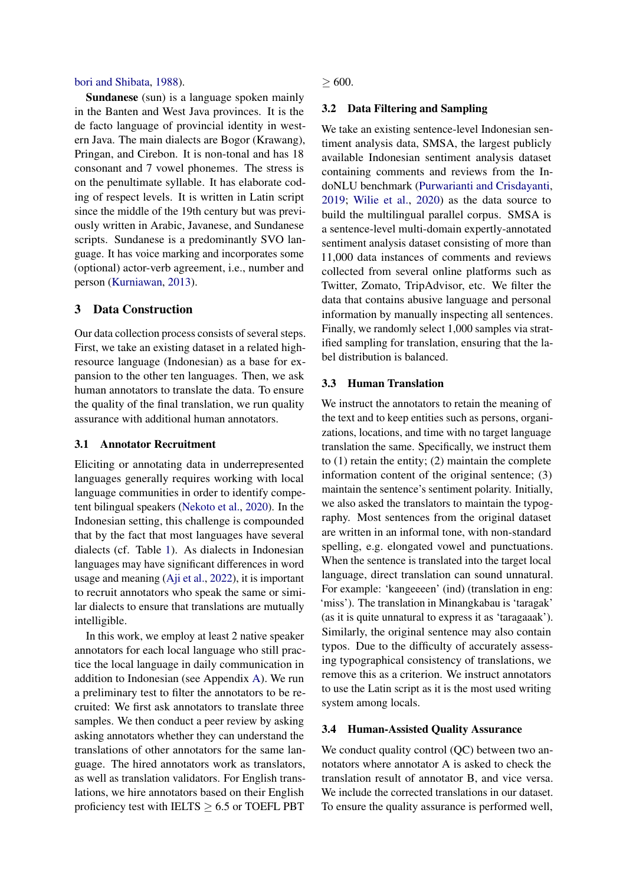#### [bori and Shibata,](#page-11-6) [1988\)](#page-11-6).

Sundanese (sun) is a language spoken mainly in the Banten and West Java provinces. It is the de facto language of provincial identity in western Java. The main dialects are Bogor (Krawang), Pringan, and Cirebon. It is non-tonal and has 18 consonant and 7 vowel phonemes. The stress is on the penultimate syllable. It has elaborate coding of respect levels. It is written in Latin script since the middle of the 19th century but was previously written in Arabic, Javanese, and Sundanese scripts. Sundanese is a predominantly SVO language. It has voice marking and incorporates some (optional) actor-verb agreement, i.e., number and person [\(Kurniawan,](#page-10-3) [2013\)](#page-10-3).

### 3 Data Construction

Our data collection process consists of several steps. First, we take an existing dataset in a related highresource language (Indonesian) as a base for expansion to the other ten languages. Then, we ask human annotators to translate the data. To ensure the quality of the final translation, we run quality assurance with additional human annotators.

#### 3.1 Annotator Recruitment

Eliciting or annotating data in underrepresented languages generally requires working with local language communities in order to identify competent bilingual speakers [\(Nekoto et al.,](#page-10-4) [2020\)](#page-10-4). In the Indonesian setting, this challenge is compounded that by the fact that most languages have several dialects (cf. Table [1\)](#page-1-1). As dialects in Indonesian languages may have significant differences in word usage and meaning [\(Aji et al.,](#page-8-0) [2022\)](#page-8-0), it is important to recruit annotators who speak the same or similar dialects to ensure that translations are mutually intelligible.

In this work, we employ at least 2 native speaker annotators for each local language who still practice the local language in daily communication in addition to Indonesian (see Appendix [A\)](#page-12-1). We run a preliminary test to filter the annotators to be recruited: We first ask annotators to translate three samples. We then conduct a peer review by asking asking annotators whether they can understand the translations of other annotators for the same language. The hired annotators work as translators, as well as translation validators. For English translations, we hire annotators based on their English proficiency test with IELTS  $> 6.5$  or TOEFL PBT

 $> 600.$ 

#### 3.2 Data Filtering and Sampling

We take an existing sentence-level Indonesian sentiment analysis data, SMSA, the largest publicly available Indonesian sentiment analysis dataset containing comments and reviews from the IndoNLU benchmark [\(Purwarianti and Crisdayanti,](#page-11-0) [2019;](#page-11-0) [Wilie et al.,](#page-12-0) [2020\)](#page-12-0) as the data source to build the multilingual parallel corpus. SMSA is a sentence-level multi-domain expertly-annotated sentiment analysis dataset consisting of more than 11,000 data instances of comments and reviews collected from several online platforms such as Twitter, Zomato, TripAdvisor, etc. We filter the data that contains abusive language and personal information by manually inspecting all sentences. Finally, we randomly select 1,000 samples via stratified sampling for translation, ensuring that the label distribution is balanced.

#### 3.3 Human Translation

We instruct the annotators to retain the meaning of the text and to keep entities such as persons, organizations, locations, and time with no target language translation the same. Specifically, we instruct them to (1) retain the entity; (2) maintain the complete information content of the original sentence; (3) maintain the sentence's sentiment polarity. Initially, we also asked the translators to maintain the typography. Most sentences from the original dataset are written in an informal tone, with non-standard spelling, e.g. elongated vowel and punctuations. When the sentence is translated into the target local language, direct translation can sound unnatural. For example: 'kangeeeen' (ind) (translation in eng: 'miss'). The translation in Minangkabau is 'taragak' (as it is quite unnatural to express it as 'taragaaak'). Similarly, the original sentence may also contain typos. Due to the difficulty of accurately assessing typographical consistency of translations, we remove this as a criterion. We instruct annotators to use the Latin script as it is the most used writing system among locals.

## 3.4 Human-Assisted Quality Assurance

We conduct quality control (QC) between two annotators where annotator A is asked to check the translation result of annotator B, and vice versa. We include the corrected translations in our dataset. To ensure the quality assurance is performed well,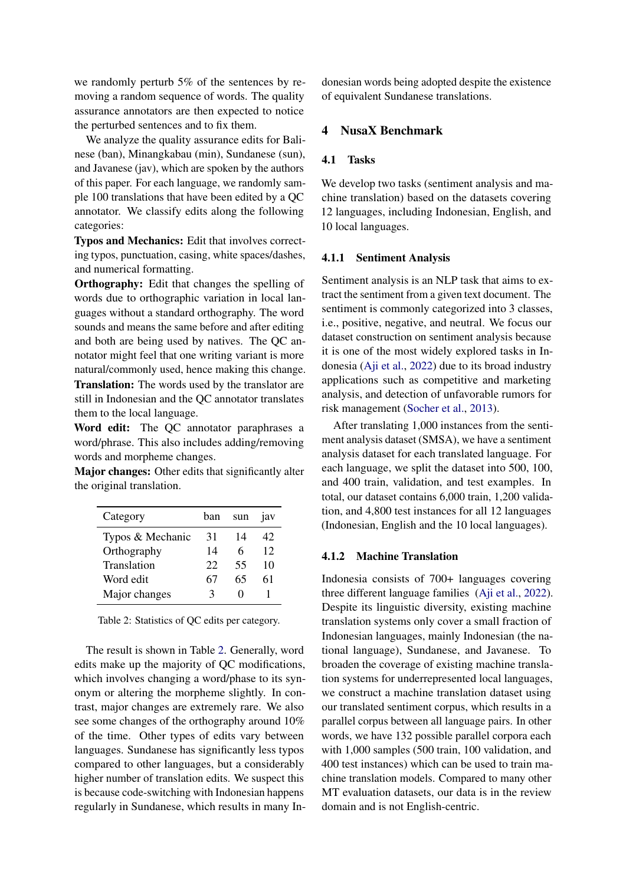we randomly perturb 5% of the sentences by removing a random sequence of words. The quality assurance annotators are then expected to notice the perturbed sentences and to fix them.

We analyze the quality assurance edits for Balinese (ban), Minangkabau (min), Sundanese (sun), and Javanese (jav), which are spoken by the authors of this paper. For each language, we randomly sample 100 translations that have been edited by a QC annotator. We classify edits along the following categories:

Typos and Mechanics: Edit that involves correcting typos, punctuation, casing, white spaces/dashes, and numerical formatting.

Orthography: Edit that changes the spelling of words due to orthographic variation in local languages without a standard orthography. The word sounds and means the same before and after editing and both are being used by natives. The QC annotator might feel that one writing variant is more natural/commonly used, hence making this change. Translation: The words used by the translator are still in Indonesian and the QC annotator translates them to the local language.

Word edit: The QC annotator paraphrases a word/phrase. This also includes adding/removing words and morpheme changes.

Major changes: Other edits that significantly alter the original translation.

<span id="page-4-0"></span>

| Category         | ban  | sun | 1av               |
|------------------|------|-----|-------------------|
| Typos & Mechanic | 31   | 14  | 42                |
| Orthography      | 14   | 6   | $12 \overline{)}$ |
| Translation      | 22   | 55  | 10                |
| Word edit        | 67   | 65  | 61                |
| Major changes    | ′- 4 |     |                   |

Table 2: Statistics of QC edits per category.

The result is shown in Table [2.](#page-4-0) Generally, word edits make up the majority of QC modifications, which involves changing a word/phase to its synonym or altering the morpheme slightly. In contrast, major changes are extremely rare. We also see some changes of the orthography around 10% of the time. Other types of edits vary between languages. Sundanese has significantly less typos compared to other languages, but a considerably higher number of translation edits. We suspect this is because code-switching with Indonesian happens regularly in Sundanese, which results in many Indonesian words being adopted despite the existence of equivalent Sundanese translations.

## 4 NusaX Benchmark

#### 4.1 Tasks

We develop two tasks (sentiment analysis and machine translation) based on the datasets covering 12 languages, including Indonesian, English, and 10 local languages.

### 4.1.1 Sentiment Analysis

Sentiment analysis is an NLP task that aims to extract the sentiment from a given text document. The sentiment is commonly categorized into 3 classes, i.e., positive, negative, and neutral. We focus our dataset construction on sentiment analysis because it is one of the most widely explored tasks in Indonesia [\(Aji et al.,](#page-8-0) [2022\)](#page-8-0) due to its broad industry applications such as competitive and marketing analysis, and detection of unfavorable rumors for risk management [\(Socher et al.,](#page-11-7) [2013\)](#page-11-7).

After translating 1,000 instances from the sentiment analysis dataset (SMSA), we have a sentiment analysis dataset for each translated language. For each language, we split the dataset into 500, 100, and 400 train, validation, and test examples. In total, our dataset contains 6,000 train, 1,200 validation, and 4,800 test instances for all 12 languages (Indonesian, English and the 10 local languages).

#### 4.1.2 Machine Translation

Indonesia consists of 700+ languages covering three different language families [\(Aji et al.,](#page-8-0) [2022\)](#page-8-0). Despite its linguistic diversity, existing machine translation systems only cover a small fraction of Indonesian languages, mainly Indonesian (the national language), Sundanese, and Javanese. To broaden the coverage of existing machine translation systems for underrepresented local languages, we construct a machine translation dataset using our translated sentiment corpus, which results in a parallel corpus between all language pairs. In other words, we have 132 possible parallel corpora each with 1,000 samples (500 train, 100 validation, and 400 test instances) which can be used to train machine translation models. Compared to many other MT evaluation datasets, our data is in the review domain and is not English-centric.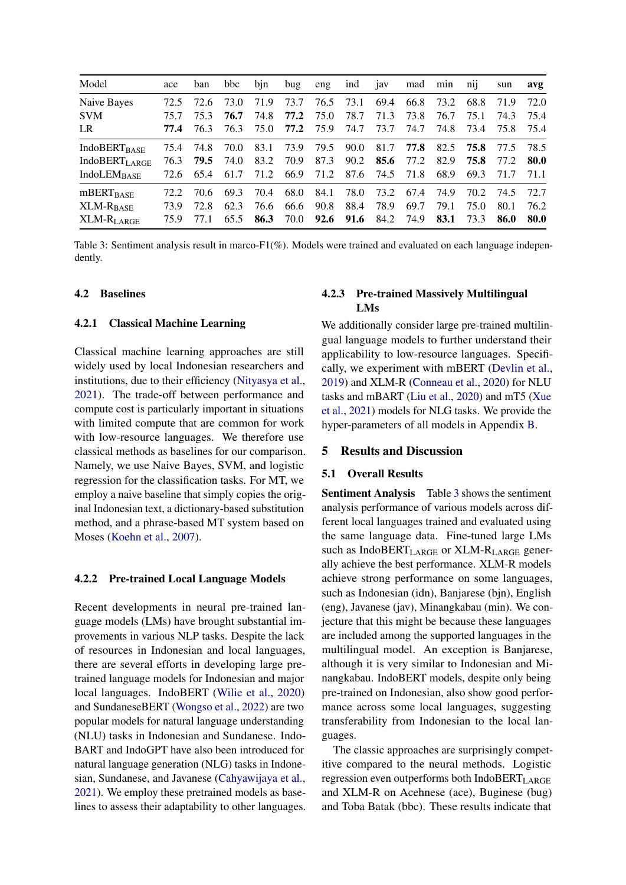<span id="page-5-0"></span>

| Model                           | ace  | ban  | bbc  | bin  | bug  | eng  | ind           | jav  | mad  | min  | nij       | sun  | avg   |
|---------------------------------|------|------|------|------|------|------|---------------|------|------|------|-----------|------|-------|
| Naive Bayes                     | 72.5 | 72.6 | 73.0 | 71.9 | 73.7 | 76.5 | 73.1          | 69.4 | 66.8 | 73.2 | 68.8      | 71.9 | 72.O  |
| <b>SVM</b>                      | 75.7 | 75.3 | 76.7 | 74.8 | 77.2 | 75.0 | 78.7          | 71.3 | 73.8 | 76.7 | 75.1      | 74.3 | 75.4  |
| LR                              | 77.4 | 76.3 | 76.3 | 75.0 | 77.2 | 75.9 | 74.7          | 73.7 | 74.7 | 74.8 | 73.4      | 75.8 | 75.4  |
| <b>IndoBERT</b> <sub>BASE</sub> | 75.4 | 74.8 | 70.0 | 83.1 | 73.9 | 79.5 | 90.0          | 81.7 | 77.8 |      | 82.5 75.8 | 77.5 | 78.5  |
| <b>IndoBERT<sub>LARGE</sub></b> | 76.3 | 79.5 | 74.0 | 83.2 | 70.9 | 87.3 | 90.2          | 85.6 | 77.2 | 82.9 | 75.8      | 77.2 | -80.0 |
| <b>IndoLEM</b> BASE             | 72.6 | 65.4 | 61.7 | 71.2 | 66.9 | 71.2 | 87.6          | 74.5 | 71.8 | 68.9 | 69.3      | 71.7 | 71.1  |
| $mBERT_{BASE}$                  | 72.2 | 70.6 | 69.3 | 70.4 | 68.0 | 84.1 | 78.0          | 73.2 | 67.4 | 74.9 | 70.2      | 74.5 | 72.7  |
| XLM-R <sub>BASE</sub>           | 73.9 | 72.8 | 62.3 | 76.6 | 66.6 | 90.8 | 88.4          | 78.9 | 69.7 | 79.1 | 75.0      | 80.1 | 76.2  |
| XLM-R <sub>LARGE</sub>          | 75.9 | 77 1 | 65.5 | 86.3 | 70.0 |      | $92.6$ $91.6$ | 84.2 | 74.9 | 83.1 | 73.3      | 86.0 | 80.0  |

Table 3: Sentiment analysis result in marco-F1(%). Models were trained and evaluated on each language independently.

### 4.2 Baselines

#### 4.2.1 Classical Machine Learning

Classical machine learning approaches are still widely used by local Indonesian researchers and institutions, due to their efficiency [\(Nityasya et al.,](#page-11-8) [2021\)](#page-11-8). The trade-off between performance and compute cost is particularly important in situations with limited compute that are common for work with low-resource languages. We therefore use classical methods as baselines for our comparison. Namely, we use Naive Bayes, SVM, and logistic regression for the classification tasks. For MT, we employ a naive baseline that simply copies the original Indonesian text, a dictionary-based substitution method, and a phrase-based MT system based on Moses [\(Koehn et al.,](#page-10-5) [2007\)](#page-10-5).

#### 4.2.2 Pre-trained Local Language Models

Recent developments in neural pre-trained language models (LMs) have brought substantial improvements in various NLP tasks. Despite the lack of resources in Indonesian and local languages, there are several efforts in developing large pretrained language models for Indonesian and major local languages. IndoBERT [\(Wilie et al.,](#page-12-0) [2020\)](#page-12-0) and SundaneseBERT [\(Wongso et al.,](#page-12-2) [2022\)](#page-12-2) are two popular models for natural language understanding (NLU) tasks in Indonesian and Sundanese. Indo-BART and IndoGPT have also been introduced for natural language generation (NLG) tasks in Indonesian, Sundanese, and Javanese [\(Cahyawijaya et al.,](#page-9-12) [2021\)](#page-9-12). We employ these pretrained models as baselines to assess their adaptability to other languages.

## 4.2.3 Pre-trained Massively Multilingual LMs

We additionally consider large pre-trained multilingual language models to further understand their applicability to low-resource languages. Specifically, we experiment with mBERT [\(Devlin et al.,](#page-9-13) [2019\)](#page-9-13) and XLM-R [\(Conneau et al.,](#page-9-14) [2020\)](#page-9-14) for NLU tasks and mBART [\(Liu et al.,](#page-10-6) [2020\)](#page-10-6) and mT5 [\(Xue](#page-12-3) [et al.,](#page-12-3) [2021\)](#page-12-3) models for NLG tasks. We provide the hyper-parameters of all models in Appendix [B.](#page-14-0)

#### 5 Results and Discussion

#### 5.1 Overall Results

Sentiment Analysis Table [3](#page-5-0) shows the sentiment analysis performance of various models across different local languages trained and evaluated using the same language data. Fine-tuned large LMs such as  $IndoBERT<sub>LARGE</sub>$  or  $XLM-R<sub>LARGE</sub>$  generally achieve the best performance. XLM-R models achieve strong performance on some languages, such as Indonesian (idn), Banjarese (bjn), English (eng), Javanese (jav), Minangkabau (min). We conjecture that this might be because these languages are included among the supported languages in the multilingual model. An exception is Banjarese, although it is very similar to Indonesian and Minangkabau. IndoBERT models, despite only being pre-trained on Indonesian, also show good performance across some local languages, suggesting transferability from Indonesian to the local languages.

The classic approaches are surprisingly competitive compared to the neural methods. Logistic regression even outperforms both IndoBERTLARGE and XLM-R on Acehnese (ace), Buginese (bug) and Toba Batak (bbc). These results indicate that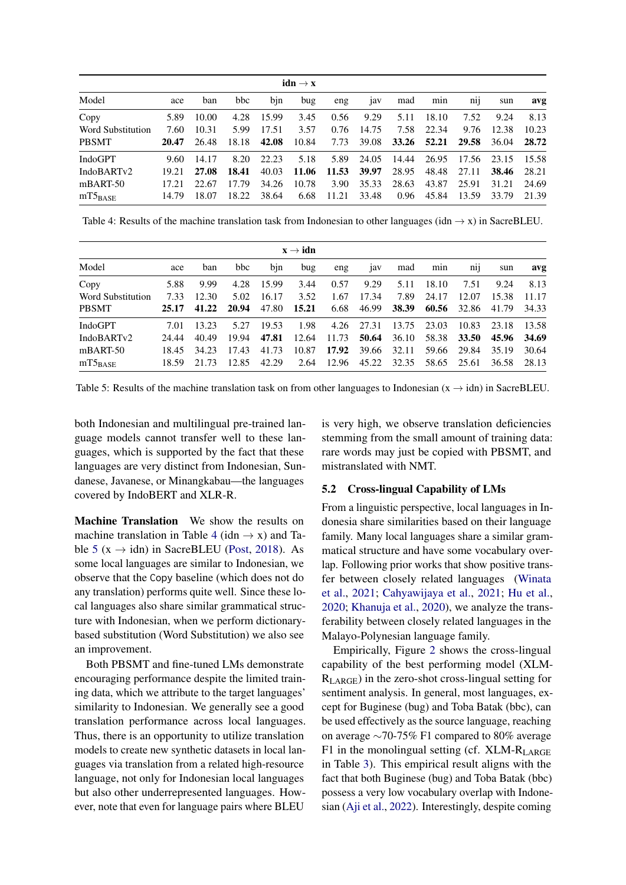<span id="page-6-0"></span>

|                   |       |       |       |       | $idn \rightarrow x$ |       |       |       |       |          |       |       |
|-------------------|-------|-------|-------|-------|---------------------|-------|-------|-------|-------|----------|-------|-------|
| Model             | ace   | ban   | bbc   | bin   | bug                 | eng   | 1av   | mad   | min   | $n_{11}$ | sun   | avg   |
| Copy              | 5.89  | 10.00 | 4.28  | 15.99 | 3.45                | 0.56  | 9.29  | 5.11  | 18.10 | 7.52     | 9.24  | 8.13  |
| Word Substitution | 7.60  | 10.31 | 5.99  | 17.51 | 3.57                | 0.76  | 14.75 | 7.58  | 22.34 | 9.76     | 12.38 | 10.23 |
| <b>PBSMT</b>      | 20.47 | 26.48 | 18.18 | 42.08 | 10.84               | 7.73  | 39.08 | 33.26 | 52.21 | 29.58    | 36.04 | 28.72 |
| IndoGPT           | 9.60  | 14.17 | 8.20  | 22.23 | 5.18                | 5.89  | 24.05 | 14.44 | 26.95 | 17.56    | 23.15 | 15.58 |
| IndoBARTv2        | 19.21 | 27.08 | 18.41 | 40.03 | 11.06               | 11.53 | 39.97 | 28.95 | 48.48 | 27.11    | 38.46 | 28.21 |
| $mBART-50$        | 17.21 | 22.67 | 17.79 | 34.26 | 10.78               | 3.90  | 35.33 | 28.63 | 43.87 | 25.91    | 31.21 | 24.69 |
| $mT5_{BASE}$      | 14.79 | 18.07 | 18.22 | 38.64 | 6.68                | 11.21 | 33.48 | 0.96  | 45.84 | 13.59    | 33.79 | 21.39 |

Table 4: Results of the machine translation task from Indonesian to other languages (idn  $\rightarrow x$ ) in SacreBLEU.

<span id="page-6-1"></span>

|                   |       |       |       |       | $\mathbf{x} \rightarrow \mathbf{i} \mathbf{d} \mathbf{n}$ |       |       |       |       |                 |       |       |
|-------------------|-------|-------|-------|-------|-----------------------------------------------------------|-------|-------|-------|-------|-----------------|-------|-------|
| Model             | ace   | ban   | bbc   | bjn   | bug                                                       | eng   | 1av   | mad   | min   | n <sub>11</sub> | sun   | avg   |
| Copy              | 5.88  | 9.99  | 4.28  | 15.99 | 3.44                                                      | 0.57  | 9.29  | 5.11  | 18.10 | 7.51            | 9.24  | 8.13  |
| Word Substitution | 7.33  | 12.30 | 5.02  | 16.17 | 3.52                                                      | 1.67  | 17.34 | 7.89  | 24.17 | 12.07           | 15.38 | 11.17 |
| <b>PBSMT</b>      | 25.17 | 41.22 | 20.94 | 47.80 | 15.21                                                     | 6.68  | 46.99 | 38.39 | 60.56 | 32.86           | 41.79 | 34.33 |
| <b>IndoGPT</b>    | 7.01  | 13.23 | 5.27  | 19.53 | 1.98                                                      | 4.26  | 27.31 | 13.75 | 23.03 | 10.83           | 23.18 | 13.58 |
| IndoBARTv2        | 24.44 | 40.49 | 19.94 | 47.81 | 12.64                                                     | 11.73 | 50.64 | 36.10 | 58.38 | 33.50           | 45.96 | 34.69 |
| $mBART-50$        | 18.45 | 34.23 | 17.43 | 41.73 | 10.87                                                     | 17.92 | 39.66 | 32.11 | 59.66 | 29.84           | 35.19 | 30.64 |
| $mT5_{BASE}$      | 18.59 | 21.73 | 12.85 | 42.29 | 2.64                                                      | 12.96 | 45.22 | 32.35 | 58.65 | 25.61           | 36.58 | 28.13 |

Table 5: Results of the machine translation task on from other languages to Indonesian ( $x \rightarrow idn$ ) in SacreBLEU.

both Indonesian and multilingual pre-trained language models cannot transfer well to these languages, which is supported by the fact that these languages are very distinct from Indonesian, Sundanese, Javanese, or Minangkabau—the languages covered by IndoBERT and XLR-R.

Machine Translation We show the results on machine translation in Table [4](#page-6-0) (idn  $\rightarrow$  x) and Ta-ble [5](#page-6-1) ( $x \rightarrow$ idn) in SacreBLEU [\(Post,](#page-11-9) [2018\)](#page-11-9). As some local languages are similar to Indonesian, we observe that the Copy baseline (which does not do any translation) performs quite well. Since these local languages also share similar grammatical structure with Indonesian, when we perform dictionarybased substitution (Word Substitution) we also see an improvement.

Both PBSMT and fine-tuned LMs demonstrate encouraging performance despite the limited training data, which we attribute to the target languages' similarity to Indonesian. We generally see a good translation performance across local languages. Thus, there is an opportunity to utilize translation models to create new synthetic datasets in local languages via translation from a related high-resource language, not only for Indonesian local languages but also other underrepresented languages. However, note that even for language pairs where BLEU

is very high, we observe translation deficiencies stemming from the small amount of training data: rare words may just be copied with PBSMT, and mistranslated with NMT.

## 5.2 Cross-lingual Capability of LMs

From a linguistic perspective, local languages in Indonesia share similarities based on their language family. Many local languages share a similar grammatical structure and have some vocabulary overlap. Following prior works that show positive transfer between closely related languages [\(Winata](#page-12-4) [et al.,](#page-12-4) [2021;](#page-12-4) [Cahyawijaya et al.,](#page-9-12) [2021;](#page-9-12) [Hu et al.,](#page-10-7) [2020;](#page-10-7) [Khanuja et al.,](#page-10-8) [2020\)](#page-10-8), we analyze the transferability between closely related languages in the Malayo-Polynesian language family.

Empirically, Figure [2](#page-7-0) shows the cross-lingual capability of the best performing model (XLM- $R_{LARGE}$ ) in the zero-shot cross-lingual setting for sentiment analysis. In general, most languages, except for Buginese (bug) and Toba Batak (bbc), can be used effectively as the source language, reaching on average ∼70-75% F1 compared to 80% average F1 in the monolingual setting (cf.  $XLM-R<sub>LARGE</sub>$ in Table [3\)](#page-5-0). This empirical result aligns with the fact that both Buginese (bug) and Toba Batak (bbc) possess a very low vocabulary overlap with Indonesian [\(Aji et al.,](#page-8-0) [2022\)](#page-8-0). Interestingly, despite coming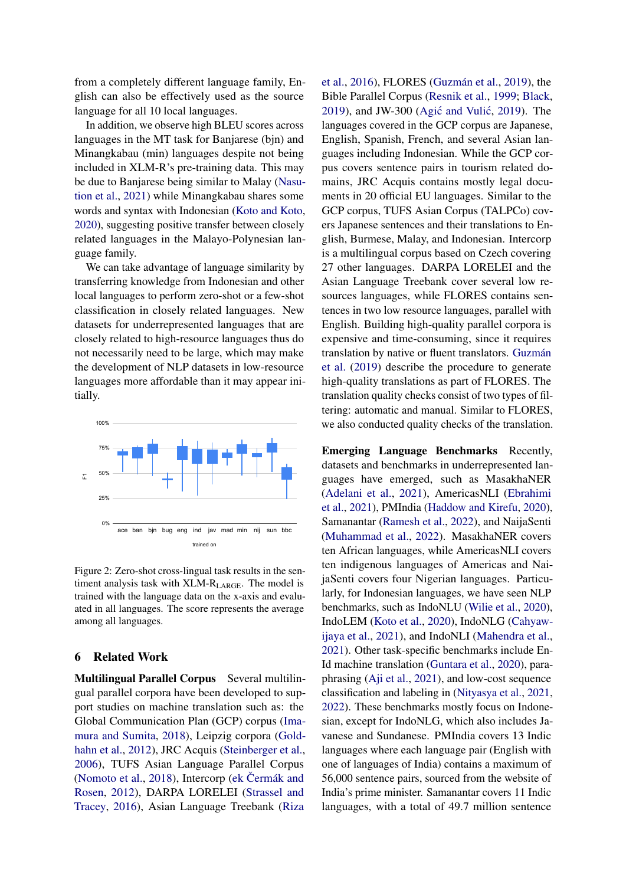from a completely different language family, English can also be effectively used as the source language for all 10 local languages.

In addition, we observe high BLEU scores across languages in the MT task for Banjarese (bjn) and Minangkabau (min) languages despite not being included in XLM-R's pre-training data. This may be due to Banjarese being similar to Malay [\(Nasu](#page-10-9)[tion et al.,](#page-10-9) [2021\)](#page-10-9) while Minangkabau shares some words and syntax with Indonesian [\(Koto and Koto,](#page-10-10) [2020\)](#page-10-10), suggesting positive transfer between closely related languages in the Malayo-Polynesian language family.

We can take advantage of language similarity by transferring knowledge from Indonesian and other local languages to perform zero-shot or a few-shot classification in closely related languages. New datasets for underrepresented languages that are closely related to high-resource languages thus do not necessarily need to be large, which may make the development of NLP datasets in low-resource languages more affordable than it may appear initially.

<span id="page-7-0"></span>

Figure 2: Zero-shot cross-lingual task results in the sentiment analysis task with XLM-R<sub>LARGE</sub>. The model is trained with the language data on the x-axis and evaluated in all languages. The score represents the average among all languages.

## 6 Related Work

Multilingual Parallel Corpus Several multilingual parallel corpora have been developed to support studies on machine translation such as: the Global Communication Plan (GCP) corpus [\(Ima](#page-10-11)[mura and Sumita,](#page-10-11) [2018\)](#page-10-11), Leipzig corpora [\(Gold](#page-9-15)[hahn et al.,](#page-9-15) [2012\)](#page-9-15), JRC Acquis [\(Steinberger et al.,](#page-11-10) [2006\)](#page-11-10), TUFS Asian Language Parallel Corpus [\(Nomoto et al.,](#page-11-11) [2018\)](#page-11-11), Intercorp (ek Čermák and [Rosen,](#page-9-16) [2012\)](#page-9-16), DARPA LORELEI [\(Strassel and](#page-11-12) [Tracey,](#page-11-12) [2016\)](#page-11-12), Asian Language Treebank [\(Riza](#page-11-13)

[et al.,](#page-11-13) [2016\)](#page-11-13), FLORES [\(Guzmán et al.,](#page-10-12) [2019\)](#page-10-12), the Bible Parallel Corpus [\(Resnik et al.,](#page-11-14) [1999;](#page-11-14) [Black,](#page-9-17) [2019\)](#page-8-1), and JW-300 (Agić and Vulić, 2019). The languages covered in the GCP corpus are Japanese, English, Spanish, French, and several Asian languages including Indonesian. While the GCP corpus covers sentence pairs in tourism related domains, JRC Acquis contains mostly legal documents in 20 official EU languages. Similar to the GCP corpus, TUFS Asian Corpus (TALPCo) covers Japanese sentences and their translations to English, Burmese, Malay, and Indonesian. Intercorp is a multilingual corpus based on Czech covering 27 other languages. DARPA LORELEI and the Asian Language Treebank cover several low resources languages, while FLORES contains sentences in two low resource languages, parallel with English. Building high-quality parallel corpora is expensive and time-consuming, since it requires translation by native or fluent translators. [Guzmán](#page-10-12) [et al.](#page-10-12) [\(2019\)](#page-10-12) describe the procedure to generate high-quality translations as part of FLORES. The translation quality checks consist of two types of filtering: automatic and manual. Similar to FLORES, we also conducted quality checks of the translation.

Emerging Language Benchmarks Recently, datasets and benchmarks in underrepresented languages have emerged, such as MasakhaNER [\(Adelani et al.,](#page-8-2) [2021\)](#page-8-2), AmericasNLI [\(Ebrahimi](#page-9-18) [et al.,](#page-9-18) [2021\)](#page-9-18), PMIndia [\(Haddow and Kirefu,](#page-10-13) [2020\)](#page-10-13), Samanantar [\(Ramesh et al.,](#page-11-15) [2022\)](#page-11-15), and NaijaSenti [\(Muhammad et al.,](#page-10-0) [2022\)](#page-10-0). MasakhaNER covers ten African languages, while AmericasNLI covers ten indigenous languages of Americas and NaijaSenti covers four Nigerian languages. Particularly, for Indonesian languages, we have seen NLP benchmarks, such as IndoNLU [\(Wilie et al.,](#page-12-0) [2020\)](#page-12-0), IndoLEM [\(Koto et al.,](#page-10-14) [2020\)](#page-10-14), IndoNLG [\(Cahyaw](#page-9-12)[ijaya et al.,](#page-9-12) [2021\)](#page-9-12), and IndoNLI [\(Mahendra et al.,](#page-10-15) [2021\)](#page-10-15). Other task-specific benchmarks include En-Id machine translation [\(Guntara et al.,](#page-10-16) [2020\)](#page-10-16), paraphrasing [\(Aji et al.,](#page-8-3) [2021\)](#page-8-3), and low-cost sequence classification and labeling in [\(Nityasya et al.,](#page-11-8) [2021,](#page-11-8) [2022\)](#page-10-17). These benchmarks mostly focus on Indonesian, except for IndoNLG, which also includes Javanese and Sundanese. PMIndia covers 13 Indic languages where each language pair (English with one of languages of India) contains a maximum of 56,000 sentence pairs, sourced from the website of India's prime minister. Samanantar covers 11 Indic languages, with a total of 49.7 million sentence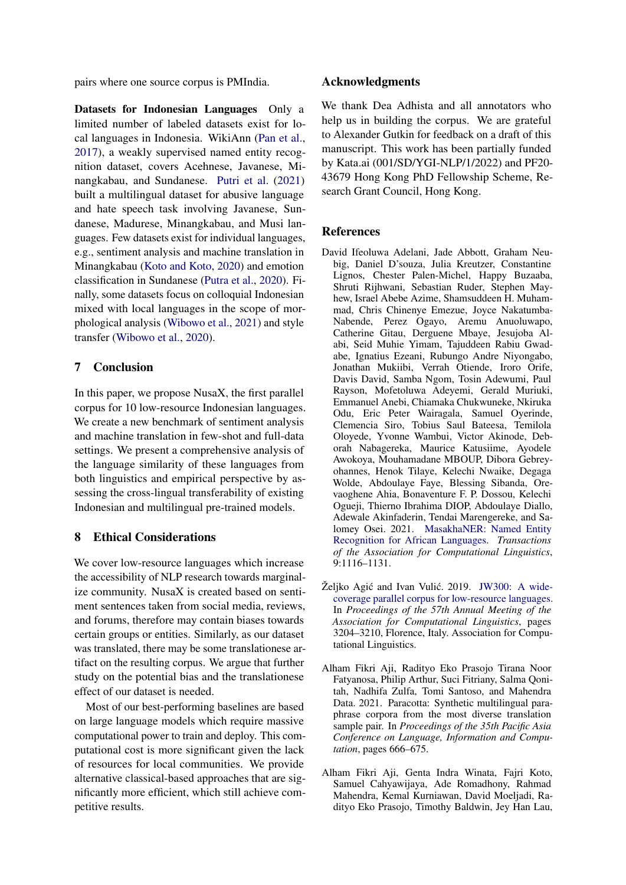pairs where one source corpus is PMIndia.

Datasets for Indonesian Languages Only a limited number of labeled datasets exist for local languages in Indonesia. WikiAnn [\(Pan et al.,](#page-11-16) [2017\)](#page-11-16), a weakly supervised named entity recognition dataset, covers Acehnese, Javanese, Minangkabau, and Sundanese. [Putri et al.](#page-11-17) [\(2021\)](#page-11-17) built a multilingual dataset for abusive language and hate speech task involving Javanese, Sundanese, Madurese, Minangkabau, and Musi languages. Few datasets exist for individual languages, e.g., sentiment analysis and machine translation in Minangkabau [\(Koto and Koto,](#page-10-10) [2020\)](#page-10-10) and emotion classification in Sundanese [\(Putra et al.,](#page-11-18) [2020\)](#page-11-18). Finally, some datasets focus on colloquial Indonesian mixed with local languages in the scope of morphological analysis [\(Wibowo et al.,](#page-12-5) [2021\)](#page-12-5) and style transfer [\(Wibowo et al.,](#page-12-6) [2020\)](#page-12-6).

## 7 Conclusion

In this paper, we propose NusaX, the first parallel corpus for 10 low-resource Indonesian languages. We create a new benchmark of sentiment analysis and machine translation in few-shot and full-data settings. We present a comprehensive analysis of the language similarity of these languages from both linguistics and empirical perspective by assessing the cross-lingual transferability of existing Indonesian and multilingual pre-trained models.

## 8 Ethical Considerations

We cover low-resource languages which increase the accessibility of NLP research towards marginalize community. NusaX is created based on sentiment sentences taken from social media, reviews, and forums, therefore may contain biases towards certain groups or entities. Similarly, as our dataset was translated, there may be some translationese artifact on the resulting corpus. We argue that further study on the potential bias and the translationese effect of our dataset is needed.

Most of our best-performing baselines are based on large language models which require massive computational power to train and deploy. This computational cost is more significant given the lack of resources for local communities. We provide alternative classical-based approaches that are significantly more efficient, which still achieve competitive results.

## Acknowledgments

We thank Dea Adhista and all annotators who help us in building the corpus. We are grateful to Alexander Gutkin for feedback on a draft of this manuscript. This work has been partially funded by Kata.ai (001/SD/YGI-NLP/1/2022) and PF20- 43679 Hong Kong PhD Fellowship Scheme, Research Grant Council, Hong Kong.

## References

- <span id="page-8-2"></span>David Ifeoluwa Adelani, Jade Abbott, Graham Neubig, Daniel D'souza, Julia Kreutzer, Constantine Lignos, Chester Palen-Michel, Happy Buzaaba, Shruti Rijhwani, Sebastian Ruder, Stephen Mayhew, Israel Abebe Azime, Shamsuddeen H. Muhammad, Chris Chinenye Emezue, Joyce Nakatumba-Nabende, Perez Ogayo, Aremu Anuoluwapo, Catherine Gitau, Derguene Mbaye, Jesujoba Alabi, Seid Muhie Yimam, Tajuddeen Rabiu Gwadabe, Ignatius Ezeani, Rubungo Andre Niyongabo, Jonathan Mukiibi, Verrah Otiende, Iroro Orife, Davis David, Samba Ngom, Tosin Adewumi, Paul Rayson, Mofetoluwa Adeyemi, Gerald Muriuki, Emmanuel Anebi, Chiamaka Chukwuneke, Nkiruka Odu, Eric Peter Wairagala, Samuel Oyerinde, Clemencia Siro, Tobius Saul Bateesa, Temilola Oloyede, Yvonne Wambui, Victor Akinode, Deborah Nabagereka, Maurice Katusiime, Ayodele Awokoya, Mouhamadane MBOUP, Dibora Gebreyohannes, Henok Tilaye, Kelechi Nwaike, Degaga Wolde, Abdoulaye Faye, Blessing Sibanda, Orevaoghene Ahia, Bonaventure F. P. Dossou, Kelechi Ogueji, Thierno Ibrahima DIOP, Abdoulaye Diallo, Adewale Akinfaderin, Tendai Marengereke, and Salomey Osei. 2021. [MasakhaNER: Named Entity](https://doi.org/10.1162/tacl_a_00416) [Recognition for African Languages.](https://doi.org/10.1162/tacl_a_00416) *Transactions of the Association for Computational Linguistics*, 9:1116–1131.
- <span id="page-8-1"></span>Željko Agić and Ivan Vulić. 2019. [JW300: A wide](https://doi.org/10.18653/v1/P19-1310)[coverage parallel corpus for low-resource languages.](https://doi.org/10.18653/v1/P19-1310) In *Proceedings of the 57th Annual Meeting of the Association for Computational Linguistics*, pages 3204–3210, Florence, Italy. Association for Computational Linguistics.
- <span id="page-8-3"></span>Alham Fikri Aji, Radityo Eko Prasojo Tirana Noor Fatyanosa, Philip Arthur, Suci Fitriany, Salma Qonitah, Nadhifa Zulfa, Tomi Santoso, and Mahendra Data. 2021. Paracotta: Synthetic multilingual paraphrase corpora from the most diverse translation sample pair. In *Proceedings of the 35th Pacific Asia Conference on Language, Information and Computation*, pages 666–675.
- <span id="page-8-0"></span>Alham Fikri Aji, Genta Indra Winata, Fajri Koto, Samuel Cahyawijaya, Ade Romadhony, Rahmad Mahendra, Kemal Kurniawan, David Moeljadi, Radityo Eko Prasojo, Timothy Baldwin, Jey Han Lau,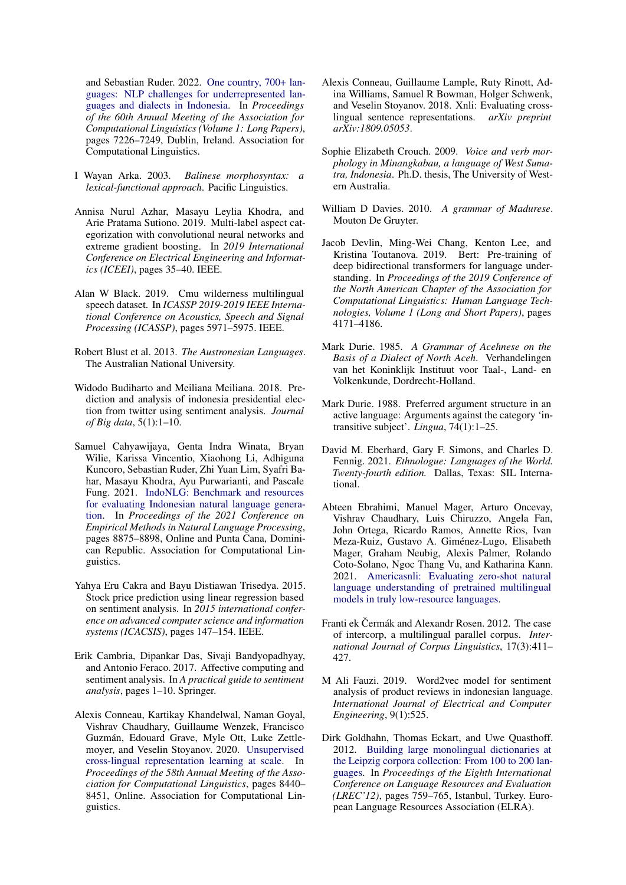and Sebastian Ruder. 2022. [One country, 700+ lan](https://aclanthology.org/2022.acl-long.500)[guages: NLP challenges for underrepresented lan](https://aclanthology.org/2022.acl-long.500)[guages and dialects in Indonesia.](https://aclanthology.org/2022.acl-long.500) In *Proceedings of the 60th Annual Meeting of the Association for Computational Linguistics (Volume 1: Long Papers)*, pages 7226–7249, Dublin, Ireland. Association for Computational Linguistics.

- <span id="page-9-9"></span>I Wayan Arka. 2003. *Balinese morphosyntax: a lexical-functional approach*. Pacific Linguistics.
- <span id="page-9-19"></span>Annisa Nurul Azhar, Masayu Leylia Khodra, and Arie Pratama Sutiono. 2019. Multi-label aspect categorization with convolutional neural networks and extreme gradient boosting. In *2019 International Conference on Electrical Engineering and Informatics (ICEEI)*, pages 35–40. IEEE.
- <span id="page-9-17"></span>Alan W Black. 2019. Cmu wilderness multilingual speech dataset. In *ICASSP 2019-2019 IEEE International Conference on Acoustics, Speech and Signal Processing (ICASSP)*, pages 5971–5975. IEEE.
- <span id="page-9-6"></span>Robert Blust et al. 2013. *The Austronesian Languages*. The Australian National University.
- <span id="page-9-2"></span>Widodo Budiharto and Meiliana Meiliana. 2018. Prediction and analysis of indonesia presidential election from twitter using sentiment analysis. *Journal of Big data*, 5(1):1–10.
- <span id="page-9-12"></span>Samuel Cahyawijaya, Genta Indra Winata, Bryan Wilie, Karissa Vincentio, Xiaohong Li, Adhiguna Kuncoro, Sebastian Ruder, Zhi Yuan Lim, Syafri Bahar, Masayu Khodra, Ayu Purwarianti, and Pascale Fung. 2021. [IndoNLG: Benchmark and resources](https://doi.org/10.18653/v1/2021.emnlp-main.699) [for evaluating Indonesian natural language genera](https://doi.org/10.18653/v1/2021.emnlp-main.699)[tion.](https://doi.org/10.18653/v1/2021.emnlp-main.699) In *Proceedings of the 2021 Conference on Empirical Methods in Natural Language Processing*, pages 8875–8898, Online and Punta Cana, Dominican Republic. Association for Computational Linguistics.
- <span id="page-9-4"></span>Yahya Eru Cakra and Bayu Distiawan Trisedya. 2015. Stock price prediction using linear regression based on sentiment analysis. In *2015 international conference on advanced computer science and information systems (ICACSIS)*, pages 147–154. IEEE.
- <span id="page-9-1"></span>Erik Cambria, Dipankar Das, Sivaji Bandyopadhyay, and Antonio Feraco. 2017. Affective computing and sentiment analysis. In *A practical guide to sentiment analysis*, pages 1–10. Springer.
- <span id="page-9-14"></span>Alexis Conneau, Kartikay Khandelwal, Naman Goyal, Vishrav Chaudhary, Guillaume Wenzek, Francisco Guzmán, Edouard Grave, Myle Ott, Luke Zettlemoyer, and Veselin Stoyanov. 2020. [Unsupervised](https://doi.org/10.18653/v1/2020.acl-main.747) [cross-lingual representation learning at scale.](https://doi.org/10.18653/v1/2020.acl-main.747) In *Proceedings of the 58th Annual Meeting of the Association for Computational Linguistics*, pages 8440– 8451, Online. Association for Computational Linguistics.
- <span id="page-9-5"></span>Alexis Conneau, Guillaume Lample, Ruty Rinott, Adina Williams, Samuel R Bowman, Holger Schwenk, and Veselin Stoyanov. 2018. Xnli: Evaluating crosslingual sentence representations. *arXiv preprint arXiv:1809.05053*.
- <span id="page-9-11"></span>Sophie Elizabeth Crouch. 2009. *Voice and verb morphology in Minangkabau, a language of West Sumatra, Indonesia*. Ph.D. thesis, The University of Western Australia.
- <span id="page-9-10"></span>William D Davies. 2010. *A grammar of Madurese*. Mouton De Gruyter.
- <span id="page-9-13"></span>Jacob Devlin, Ming-Wei Chang, Kenton Lee, and Kristina Toutanova. 2019. Bert: Pre-training of deep bidirectional transformers for language understanding. In *Proceedings of the 2019 Conference of the North American Chapter of the Association for Computational Linguistics: Human Language Technologies, Volume 1 (Long and Short Papers)*, pages 4171–4186.
- <span id="page-9-7"></span>Mark Durie. 1985. *A Grammar of Acehnese on the Basis of a Dialect of North Aceh*. Verhandelingen van het Koninklijk Instituut voor Taal-, Land- en Volkenkunde, Dordrecht-Holland.
- <span id="page-9-8"></span>Mark Durie. 1988. Preferred argument structure in an active language: Arguments against the category 'intransitive subject'. *Lingua*, 74(1):1–25.
- <span id="page-9-0"></span>David M. Eberhard, Gary F. Simons, and Charles D. Fennig. 2021. *Ethnologue: Languages of the World. Twenty-fourth edition.* Dallas, Texas: SIL International.
- <span id="page-9-18"></span>Abteen Ebrahimi, Manuel Mager, Arturo Oncevay, Vishrav Chaudhary, Luis Chiruzzo, Angela Fan, John Ortega, Ricardo Ramos, Annette Rios, Ivan Meza-Ruiz, Gustavo A. Giménez-Lugo, Elisabeth Mager, Graham Neubig, Alexis Palmer, Rolando Coto-Solano, Ngoc Thang Vu, and Katharina Kann. 2021. [Americasnli: Evaluating zero-shot natural](https://doi.org/10.48550/ARXIV.2104.08726) [language understanding of pretrained multilingual](https://doi.org/10.48550/ARXIV.2104.08726) [models in truly low-resource languages.](https://doi.org/10.48550/ARXIV.2104.08726)
- <span id="page-9-16"></span>Franti ek Čermák and Alexandr Rosen. 2012. The case of intercorp, a multilingual parallel corpus. *International Journal of Corpus Linguistics*, 17(3):411– 427.
- <span id="page-9-3"></span>M Ali Fauzi. 2019. Word2vec model for sentiment analysis of product reviews in indonesian language. *International Journal of Electrical and Computer Engineering*, 9(1):525.
- <span id="page-9-15"></span>Dirk Goldhahn, Thomas Eckart, and Uwe Quasthoff. 2012. [Building large monolingual dictionaries at](http://www.lrec-conf.org/proceedings/lrec2012/pdf/327_Paper.pdf) [the Leipzig corpora collection: From 100 to 200 lan](http://www.lrec-conf.org/proceedings/lrec2012/pdf/327_Paper.pdf)[guages.](http://www.lrec-conf.org/proceedings/lrec2012/pdf/327_Paper.pdf) In *Proceedings of the Eighth International Conference on Language Resources and Evaluation (LREC'12)*, pages 759–765, Istanbul, Turkey. European Language Resources Association (ELRA).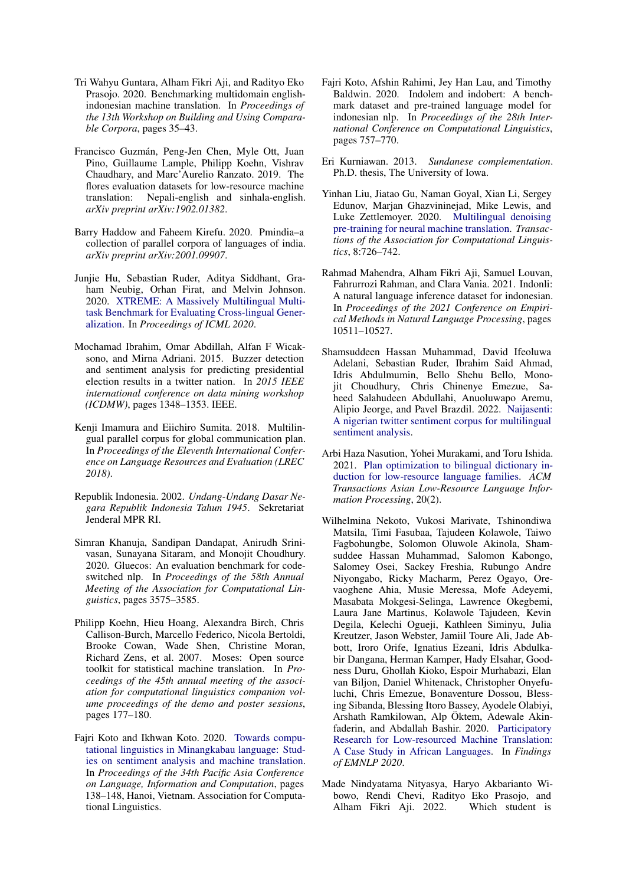- <span id="page-10-16"></span>Tri Wahyu Guntara, Alham Fikri Aji, and Radityo Eko Prasojo. 2020. Benchmarking multidomain englishindonesian machine translation. In *Proceedings of the 13th Workshop on Building and Using Comparable Corpora*, pages 35–43.
- <span id="page-10-12"></span>Francisco Guzmán, Peng-Jen Chen, Myle Ott, Juan Pino, Guillaume Lample, Philipp Koehn, Vishrav Chaudhary, and Marc'Aurelio Ranzato. 2019. The flores evaluation datasets for low-resource machine translation: Nepali-english and sinhala-english. *arXiv preprint arXiv:1902.01382*.
- <span id="page-10-13"></span>Barry Haddow and Faheem Kirefu. 2020. Pmindia–a collection of parallel corpora of languages of india. *arXiv preprint arXiv:2001.09907*.
- <span id="page-10-7"></span>Junjie Hu, Sebastian Ruder, Aditya Siddhant, Graham Neubig, Orhan Firat, and Melvin Johnson. 2020. [XTREME: A Massively Multilingual Multi](http://arxiv.org/abs/arXiv:2003.11080v1)[task Benchmark for Evaluating Cross-lingual Gener](http://arxiv.org/abs/arXiv:2003.11080v1)[alization.](http://arxiv.org/abs/arXiv:2003.11080v1) In *Proceedings of ICML 2020*.
- <span id="page-10-1"></span>Mochamad Ibrahim, Omar Abdillah, Alfan F Wicaksono, and Mirna Adriani. 2015. Buzzer detection and sentiment analysis for predicting presidential election results in a twitter nation. In *2015 IEEE international conference on data mining workshop (ICDMW)*, pages 1348–1353. IEEE.
- <span id="page-10-11"></span>Kenji Imamura and Eiichiro Sumita. 2018. Multilingual parallel corpus for global communication plan. In *Proceedings of the Eleventh International Conference on Language Resources and Evaluation (LREC 2018)*.
- <span id="page-10-2"></span>Republik Indonesia. 2002. *Undang-Undang Dasar Negara Republik Indonesia Tahun 1945*. Sekretariat Jenderal MPR RI.
- <span id="page-10-8"></span>Simran Khanuja, Sandipan Dandapat, Anirudh Srinivasan, Sunayana Sitaram, and Monojit Choudhury. 2020. Gluecos: An evaluation benchmark for codeswitched nlp. In *Proceedings of the 58th Annual Meeting of the Association for Computational Linguistics*, pages 3575–3585.
- <span id="page-10-5"></span>Philipp Koehn, Hieu Hoang, Alexandra Birch, Chris Callison-Burch, Marcello Federico, Nicola Bertoldi, Brooke Cowan, Wade Shen, Christine Moran, Richard Zens, et al. 2007. Moses: Open source toolkit for statistical machine translation. In *Proceedings of the 45th annual meeting of the association for computational linguistics companion volume proceedings of the demo and poster sessions*, pages 177–180.
- <span id="page-10-10"></span>Fajri Koto and Ikhwan Koto. 2020. [Towards compu](https://aclanthology.org/2020.paclic-1.17)[tational linguistics in Minangkabau language: Stud](https://aclanthology.org/2020.paclic-1.17)[ies on sentiment analysis and machine translation.](https://aclanthology.org/2020.paclic-1.17) In *Proceedings of the 34th Pacific Asia Conference on Language, Information and Computation*, pages 138–148, Hanoi, Vietnam. Association for Computational Linguistics.
- <span id="page-10-14"></span>Fajri Koto, Afshin Rahimi, Jey Han Lau, and Timothy Baldwin. 2020. Indolem and indobert: A benchmark dataset and pre-trained language model for indonesian nlp. In *Proceedings of the 28th International Conference on Computational Linguistics*, pages 757–770.
- <span id="page-10-3"></span>Eri Kurniawan. 2013. *Sundanese complementation*. Ph.D. thesis, The University of Iowa.
- <span id="page-10-6"></span>Yinhan Liu, Jiatao Gu, Naman Goyal, Xian Li, Sergey Edunov, Marjan Ghazvininejad, Mike Lewis, and Luke Zettlemoyer. 2020. [Multilingual denoising](https://doi.org/10.1162/tacl_a_00343) [pre-training for neural machine translation.](https://doi.org/10.1162/tacl_a_00343) *Transactions of the Association for Computational Linguistics*, 8:726–742.
- <span id="page-10-15"></span>Rahmad Mahendra, Alham Fikri Aji, Samuel Louvan, Fahrurrozi Rahman, and Clara Vania. 2021. Indonli: A natural language inference dataset for indonesian. In *Proceedings of the 2021 Conference on Empirical Methods in Natural Language Processing*, pages 10511–10527.
- <span id="page-10-0"></span>Shamsuddeen Hassan Muhammad, David Ifeoluwa Adelani, Sebastian Ruder, Ibrahim Said Ahmad, Idris Abdulmumin, Bello Shehu Bello, Monojit Choudhury, Chris Chinenye Emezue, Saheed Salahudeen Abdullahi, Anuoluwapo Aremu, Alipio Jeorge, and Pavel Brazdil. 2022. [Naijasenti:](https://doi.org/10.48550/ARXIV.2201.08277) [A nigerian twitter sentiment corpus for multilingual](https://doi.org/10.48550/ARXIV.2201.08277) [sentiment analysis.](https://doi.org/10.48550/ARXIV.2201.08277)
- <span id="page-10-9"></span>Arbi Haza Nasution, Yohei Murakami, and Toru Ishida. 2021. [Plan optimization to bilingual dictionary in](https://doi.org/10.1145/3448215)[duction for low-resource language families.](https://doi.org/10.1145/3448215) *ACM Transactions Asian Low-Resource Language Information Processing*, 20(2).
- <span id="page-10-4"></span>Wilhelmina Nekoto, Vukosi Marivate, Tshinondiwa Matsila, Timi Fasubaa, Tajudeen Kolawole, Taiwo Fagbohungbe, Solomon Oluwole Akinola, Shamsuddee Hassan Muhammad, Salomon Kabongo, Salomey Osei, Sackey Freshia, Rubungo Andre Niyongabo, Ricky Macharm, Perez Ogayo, Orevaoghene Ahia, Musie Meressa, Mofe Adeyemi, Masabata Mokgesi-Selinga, Lawrence Okegbemi, Laura Jane Martinus, Kolawole Tajudeen, Kevin Degila, Kelechi Ogueji, Kathleen Siminyu, Julia Kreutzer, Jason Webster, Jamiil Toure Ali, Jade Abbott, Iroro Orife, Ignatius Ezeani, Idris Abdulkabir Dangana, Herman Kamper, Hady Elsahar, Goodness Duru, Ghollah Kioko, Espoir Murhabazi, Elan van Biljon, Daniel Whitenack, Christopher Onyefuluchi, Chris Emezue, Bonaventure Dossou, Blessing Sibanda, Blessing Itoro Bassey, Ayodele Olabiyi, Arshath Ramkilowan, Alp Öktem, Adewale Akinfaderin, and Abdallah Bashir. 2020. [Participatory](http://arxiv.org/abs/2010.02353) [Research for Low-resourced Machine Translation:](http://arxiv.org/abs/2010.02353) [A Case Study in African Languages.](http://arxiv.org/abs/2010.02353) In *Findings of EMNLP 2020*.
- <span id="page-10-17"></span>Made Nindyatama Nityasya, Haryo Akbarianto Wibowo, Rendi Chevi, Radityo Eko Prasojo, and Alham Fikri Aji. 2022. Which student is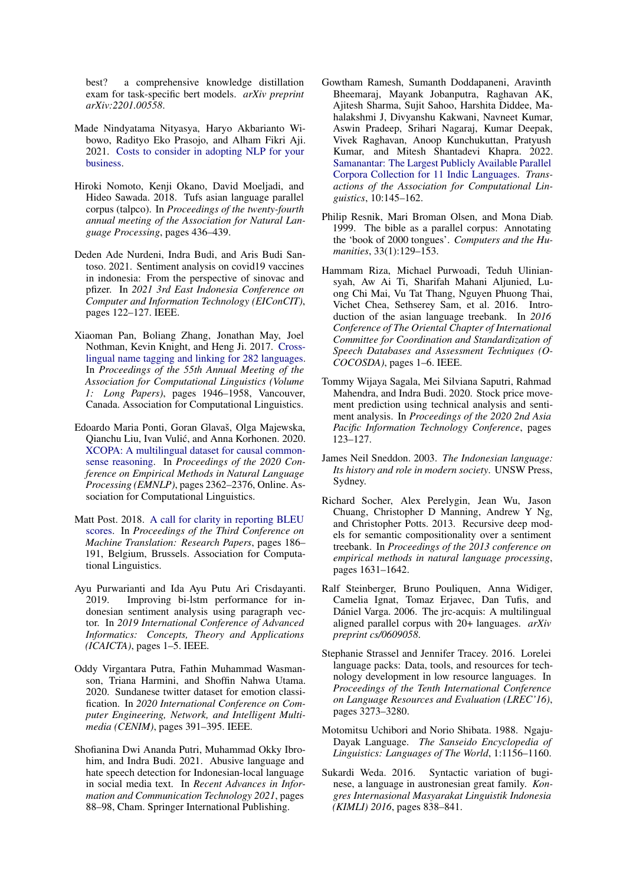best? a comprehensive knowledge distillation exam for task-specific bert models. *arXiv preprint arXiv:2201.00558*.

- <span id="page-11-8"></span>Made Nindyatama Nityasya, Haryo Akbarianto Wibowo, Radityo Eko Prasojo, and Alham Fikri Aji. 2021. [Costs to consider in adopting NLP for your](http://arxiv.org/abs/2012.08958) [business.](http://arxiv.org/abs/2012.08958)
- <span id="page-11-11"></span>Hiroki Nomoto, Kenji Okano, David Moeljadi, and Hideo Sawada. 2018. Tufs asian language parallel corpus (talpco). In *Proceedings of the twenty-fourth annual meeting of the Association for Natural Language Processing*, pages 436–439.
- <span id="page-11-2"></span>Deden Ade Nurdeni, Indra Budi, and Aris Budi Santoso. 2021. Sentiment analysis on covid19 vaccines in indonesia: From the perspective of sinovac and pfizer. In *2021 3rd East Indonesia Conference on Computer and Information Technology (EIConCIT)*, pages 122–127. IEEE.
- <span id="page-11-16"></span>Xiaoman Pan, Boliang Zhang, Jonathan May, Joel Nothman, Kevin Knight, and Heng Ji. 2017. [Cross](https://doi.org/10.18653/v1/P17-1178)[lingual name tagging and linking for 282 languages.](https://doi.org/10.18653/v1/P17-1178) In *Proceedings of the 55th Annual Meeting of the Association for Computational Linguistics (Volume 1: Long Papers)*, pages 1946–1958, Vancouver, Canada. Association for Computational Linguistics.
- <span id="page-11-3"></span>Edoardo Maria Ponti, Goran Glavaš, Olga Majewska, Qianchu Liu, Ivan Vulic, and Anna Korhonen. 2020. ´ [XCOPA: A multilingual dataset for causal common](https://doi.org/10.18653/v1/2020.emnlp-main.185)[sense reasoning.](https://doi.org/10.18653/v1/2020.emnlp-main.185) In *Proceedings of the 2020 Conference on Empirical Methods in Natural Language Processing (EMNLP)*, pages 2362–2376, Online. Association for Computational Linguistics.
- <span id="page-11-9"></span>Matt Post. 2018. [A call for clarity in reporting BLEU](https://www.aclweb.org/anthology/W18-6319) [scores.](https://www.aclweb.org/anthology/W18-6319) In *Proceedings of the Third Conference on Machine Translation: Research Papers*, pages 186– 191, Belgium, Brussels. Association for Computational Linguistics.
- <span id="page-11-0"></span>Ayu Purwarianti and Ida Ayu Putu Ari Crisdayanti. 2019. Improving bi-lstm performance for indonesian sentiment analysis using paragraph vector. In *2019 International Conference of Advanced Informatics: Concepts, Theory and Applications (ICAICTA)*, pages 1–5. IEEE.
- <span id="page-11-18"></span>Oddy Virgantara Putra, Fathin Muhammad Wasmanson, Triana Harmini, and Shoffin Nahwa Utama. 2020. Sundanese twitter dataset for emotion classification. In *2020 International Conference on Computer Engineering, Network, and Intelligent Multimedia (CENIM)*, pages 391–395. IEEE.
- <span id="page-11-17"></span>Shofianina Dwi Ananda Putri, Muhammad Okky Ibrohim, and Indra Budi. 2021. Abusive language and hate speech detection for Indonesian-local language in social media text. In *Recent Advances in Information and Communication Technology 2021*, pages 88–98, Cham. Springer International Publishing.
- <span id="page-11-15"></span>Gowtham Ramesh, Sumanth Doddapaneni, Aravinth Bheemaraj, Mayank Jobanputra, Raghavan AK, Ajitesh Sharma, Sujit Sahoo, Harshita Diddee, Mahalakshmi J, Divyanshu Kakwani, Navneet Kumar, Aswin Pradeep, Srihari Nagaraj, Kumar Deepak, Vivek Raghavan, Anoop Kunchukuttan, Pratyush Kumar, and Mitesh Shantadevi Khapra. 2022. [Samanantar: The Largest Publicly Available Parallel](https://doi.org/10.1162/tacl_a_00452) [Corpora Collection for 11 Indic Languages.](https://doi.org/10.1162/tacl_a_00452) *Transactions of the Association for Computational Linguistics*, 10:145–162.
- <span id="page-11-14"></span>Philip Resnik, Mari Broman Olsen, and Mona Diab. 1999. The bible as a parallel corpus: Annotating the 'book of 2000 tongues'. *Computers and the Humanities*, 33(1):129–153.
- <span id="page-11-13"></span>Hammam Riza, Michael Purwoadi, Teduh Uliniansyah, Aw Ai Ti, Sharifah Mahani Aljunied, Luong Chi Mai, Vu Tat Thang, Nguyen Phuong Thai, Vichet Chea, Sethserey Sam, et al. 2016. Introduction of the asian language treebank. In *2016 Conference of The Oriental Chapter of International Committee for Coordination and Standardization of Speech Databases and Assessment Techniques (O-COCOSDA)*, pages 1–6. IEEE.
- <span id="page-11-1"></span>Tommy Wijaya Sagala, Mei Silviana Saputri, Rahmad Mahendra, and Indra Budi. 2020. Stock price movement prediction using technical analysis and sentiment analysis. In *Proceedings of the 2020 2nd Asia Pacific Information Technology Conference*, pages 123–127.
- <span id="page-11-5"></span>James Neil Sneddon. 2003. *The Indonesian language: Its history and role in modern society*. UNSW Press, Sydney.
- <span id="page-11-7"></span>Richard Socher, Alex Perelygin, Jean Wu, Jason Chuang, Christopher D Manning, Andrew Y Ng, and Christopher Potts. 2013. Recursive deep models for semantic compositionality over a sentiment treebank. In *Proceedings of the 2013 conference on empirical methods in natural language processing*, pages 1631–1642.
- <span id="page-11-10"></span>Ralf Steinberger, Bruno Pouliquen, Anna Widiger, Camelia Ignat, Tomaz Erjavec, Dan Tufis, and Dániel Varga. 2006. The jrc-acquis: A multilingual aligned parallel corpus with 20+ languages. *arXiv preprint cs/0609058*.
- <span id="page-11-12"></span>Stephanie Strassel and Jennifer Tracey. 2016. Lorelei language packs: Data, tools, and resources for technology development in low resource languages. In *Proceedings of the Tenth International Conference on Language Resources and Evaluation (LREC'16)*, pages 3273–3280.
- <span id="page-11-6"></span>Motomitsu Uchibori and Norio Shibata. 1988. Ngaju-Dayak Language. *The Sanseido Encyclopedia of Linguistics: Languages of The World*, 1:1156–1160.
- <span id="page-11-4"></span>Sukardi Weda. 2016. Syntactic variation of buginese, a language in austronesian great family. *Kongres Internasional Masyarakat Linguistik Indonesia (KIMLI) 2016*, pages 838–841.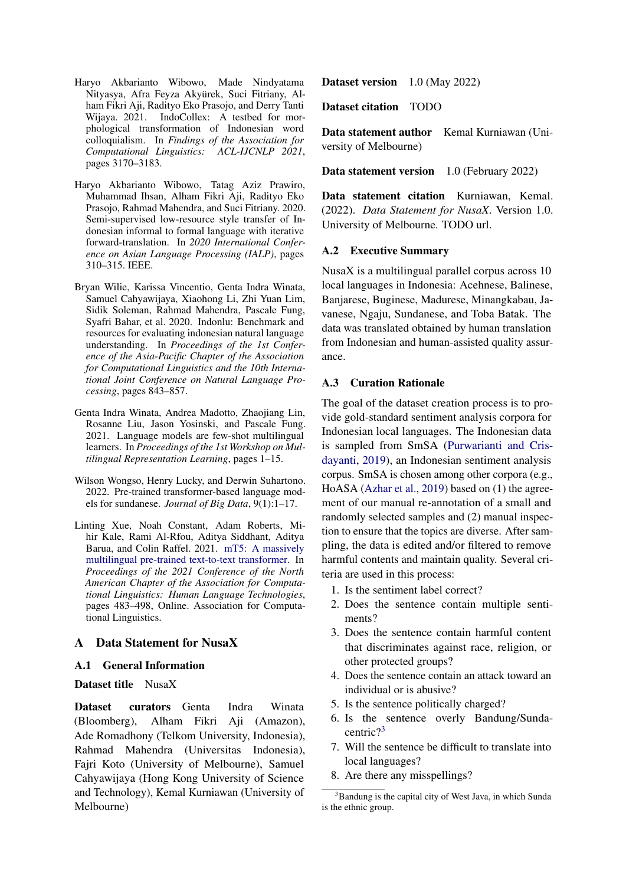- <span id="page-12-5"></span>Haryo Akbarianto Wibowo, Made Nindyatama Nityasya, Afra Feyza Akyürek, Suci Fitriany, Alham Fikri Aji, Radityo Eko Prasojo, and Derry Tanti Wijaya. 2021. IndoCollex: A testbed for morphological transformation of Indonesian word colloquialism. In *Findings of the Association for Computational Linguistics: ACL-IJCNLP 2021*, pages 3170–3183.
- <span id="page-12-6"></span>Haryo Akbarianto Wibowo, Tatag Aziz Prawiro, Muhammad Ihsan, Alham Fikri Aji, Radityo Eko Prasojo, Rahmad Mahendra, and Suci Fitriany. 2020. Semi-supervised low-resource style transfer of Indonesian informal to formal language with iterative forward-translation. In *2020 International Conference on Asian Language Processing (IALP)*, pages 310–315. IEEE.
- <span id="page-12-0"></span>Bryan Wilie, Karissa Vincentio, Genta Indra Winata, Samuel Cahyawijaya, Xiaohong Li, Zhi Yuan Lim, Sidik Soleman, Rahmad Mahendra, Pascale Fung, Syafri Bahar, et al. 2020. Indonlu: Benchmark and resources for evaluating indonesian natural language understanding. In *Proceedings of the 1st Conference of the Asia-Pacific Chapter of the Association for Computational Linguistics and the 10th International Joint Conference on Natural Language Processing*, pages 843–857.
- <span id="page-12-4"></span>Genta Indra Winata, Andrea Madotto, Zhaojiang Lin, Rosanne Liu, Jason Yosinski, and Pascale Fung. 2021. Language models are few-shot multilingual learners. In *Proceedings of the 1st Workshop on Multilingual Representation Learning*, pages 1–15.
- <span id="page-12-2"></span>Wilson Wongso, Henry Lucky, and Derwin Suhartono. 2022. Pre-trained transformer-based language models for sundanese. *Journal of Big Data*, 9(1):1–17.
- <span id="page-12-3"></span>Linting Xue, Noah Constant, Adam Roberts, Mihir Kale, Rami Al-Rfou, Aditya Siddhant, Aditya Barua, and Colin Raffel. 2021. [mT5: A massively](https://doi.org/10.18653/v1/2021.naacl-main.41) [multilingual pre-trained text-to-text transformer.](https://doi.org/10.18653/v1/2021.naacl-main.41) In *Proceedings of the 2021 Conference of the North American Chapter of the Association for Computational Linguistics: Human Language Technologies*, pages 483–498, Online. Association for Computational Linguistics.

## <span id="page-12-1"></span>A Data Statement for NusaX

## A.1 General Information

## Dataset title NusaX

Dataset curators Genta Indra Winata (Bloomberg), Alham Fikri Aji (Amazon), Ade Romadhony (Telkom University, Indonesia), Rahmad Mahendra (Universitas Indonesia), Fajri Koto (University of Melbourne), Samuel Cahyawijaya (Hong Kong University of Science and Technology), Kemal Kurniawan (University of Melbourne)

Dataset version 1.0 (May 2022)

Dataset citation TODO

Data statement author Kemal Kurniawan (University of Melbourne)

Data statement version 1.0 (February 2022)

Data statement citation Kurniawan, Kemal. (2022). *Data Statement for NusaX*. Version 1.0. University of Melbourne. TODO url.

## A.2 Executive Summary

NusaX is a multilingual parallel corpus across 10 local languages in Indonesia: Acehnese, Balinese, Banjarese, Buginese, Madurese, Minangkabau, Javanese, Ngaju, Sundanese, and Toba Batak. The data was translated obtained by human translation from Indonesian and human-assisted quality assurance.

## A.3 Curation Rationale

The goal of the dataset creation process is to provide gold-standard sentiment analysis corpora for Indonesian local languages. The Indonesian data is sampled from SmSA [\(Purwarianti and Cris](#page-11-0)[dayanti,](#page-11-0) [2019\)](#page-11-0), an Indonesian sentiment analysis corpus. SmSA is chosen among other corpora (e.g., HoASA [\(Azhar et al.,](#page-9-19) [2019\)](#page-9-19) based on (1) the agreement of our manual re-annotation of a small and randomly selected samples and (2) manual inspection to ensure that the topics are diverse. After sampling, the data is edited and/or filtered to remove harmful contents and maintain quality. Several criteria are used in this process:

- 1. Is the sentiment label correct?
- 2. Does the sentence contain multiple sentiments?
- 3. Does the sentence contain harmful content that discriminates against race, religion, or other protected groups?
- 4. Does the sentence contain an attack toward an individual or is abusive?
- 5. Is the sentence politically charged?
- 6. Is the sentence overly Bandung/Sundacentric?[3](#page-12-7)
- 7. Will the sentence be difficult to translate into local languages?
- 8. Are there any misspellings?

<span id="page-12-7"></span><sup>&</sup>lt;sup>3</sup>Bandung is the capital city of West Java, in which Sunda is the ethnic group.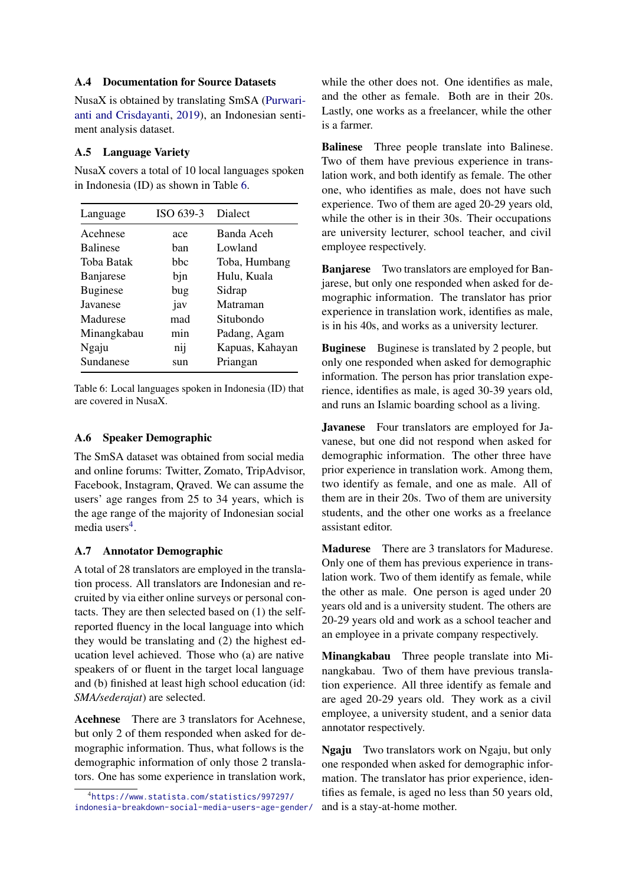## A.4 Documentation for Source Datasets

NusaX is obtained by translating SmSA [\(Purwari](#page-11-0)[anti and Crisdayanti,](#page-11-0) [2019\)](#page-11-0), an Indonesian sentiment analysis dataset.

## A.5 Language Variety

NusaX covers a total of 10 local languages spoken in Indonesia (ID) as shown in Table [6.](#page-13-0)

<span id="page-13-0"></span>

| Language        | ISO 639-3 | Dialect         |
|-----------------|-----------|-----------------|
| Acehnese        | ace       | Banda Aceh      |
| <b>Balinese</b> | han       | Lowland         |
| Toba Batak      | hhc       | Toba, Humbang   |
| Banjarese       | bjn       | Hulu, Kuala     |
| <b>Buginese</b> | bug       | Sidrap          |
| Javanese        | jav       | Matraman        |
| Madurese        | mad       | Situbondo       |
| Minangkabau     | min       | Padang, Agam    |
| Ngaju           | $n_{11}$  | Kapuas, Kahayan |
| Sundanese       | sun       | Priangan        |

Table 6: Local languages spoken in Indonesia (ID) that are covered in NusaX.

## A.6 Speaker Demographic

The SmSA dataset was obtained from social media and online forums: Twitter, Zomato, TripAdvisor, Facebook, Instagram, Qraved. We can assume the users' age ranges from 25 to 34 years, which is the age range of the majority of Indonesian social media users<sup>[4](#page-13-1)</sup>.

## A.7 Annotator Demographic

A total of 28 translators are employed in the translation process. All translators are Indonesian and recruited by via either online surveys or personal contacts. They are then selected based on (1) the selfreported fluency in the local language into which they would be translating and (2) the highest education level achieved. Those who (a) are native speakers of or fluent in the target local language and (b) finished at least high school education (id: *SMA/sederajat*) are selected.

Acehnese There are 3 translators for Acehnese, but only 2 of them responded when asked for demographic information. Thus, what follows is the demographic information of only those 2 translators. One has some experience in translation work, while the other does not. One identifies as male, and the other as female. Both are in their 20s. Lastly, one works as a freelancer, while the other is a farmer.

Balinese Three people translate into Balinese. Two of them have previous experience in translation work, and both identify as female. The other one, who identifies as male, does not have such experience. Two of them are aged 20-29 years old, while the other is in their 30s. Their occupations are university lecturer, school teacher, and civil employee respectively.

Banjarese Two translators are employed for Banjarese, but only one responded when asked for demographic information. The translator has prior experience in translation work, identifies as male, is in his 40s, and works as a university lecturer.

Buginese Buginese is translated by 2 people, but only one responded when asked for demographic information. The person has prior translation experience, identifies as male, is aged 30-39 years old, and runs an Islamic boarding school as a living.

Javanese Four translators are employed for Javanese, but one did not respond when asked for demographic information. The other three have prior experience in translation work. Among them, two identify as female, and one as male. All of them are in their 20s. Two of them are university students, and the other one works as a freelance assistant editor.

Madurese There are 3 translators for Madurese. Only one of them has previous experience in translation work. Two of them identify as female, while the other as male. One person is aged under 20 years old and is a university student. The others are 20-29 years old and work as a school teacher and an employee in a private company respectively.

Minangkabau Three people translate into Minangkabau. Two of them have previous translation experience. All three identify as female and are aged 20-29 years old. They work as a civil employee, a university student, and a senior data annotator respectively.

Ngaju Two translators work on Ngaju, but only one responded when asked for demographic information. The translator has prior experience, identifies as female, is aged no less than 50 years old, and is a stay-at-home mother.

<span id="page-13-1"></span><sup>4</sup> [https://www.statista.com/statistics/997297/](https://www.statista.com/statistics/997297/indonesia-breakdown-social-media-users-age-gender/) [indonesia-breakdown-social-media-users-age-gender/](https://www.statista.com/statistics/997297/indonesia-breakdown-social-media-users-age-gender/)